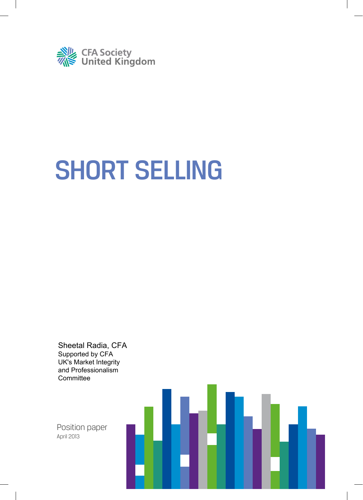

# SHORT SELLING

Sheetal Radia, CFA Supported by CFA UK's Market Integrity and Professionalism **Committee** 

Position paper April 2013

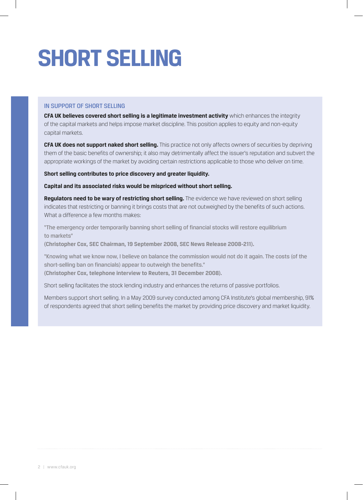# **SHORT SELLING**

### IN SUPPORT OF SHORT SELLING

**CFA UK believes covered short selling is a legitimate investment activity** which enhances the integrity of the capital markets and helps impose market discipline. This position applies to equity and non-equity capital markets.

**CFA UK does not support naked short selling.** This practice not only affects owners of securities by depriving them of the basic benefits of ownership; it also may detrimentally affect the issuer's reputation and subvert the appropriate workings of the market by avoiding certain restrictions applicable to those who deliver on time.

#### **Short selling contributes to price discovery and greater liquidity.**

**Capital and its associated risks would be mispriced without short selling.**

**Regulators need to be wary of restricting short selling.** The evidence we have reviewed on short selling indicates that restricting or banning it brings costs that are not outweighed by the benefits of such actions. What a difference a few months makes:

"The emergency order temporarily banning short selling of financial stocks will restore equilibrium to markets"

**(Christopher Cox, SEC Chairman, 19 September 2008, SEC News Release 2008-211).**

"Knowing what we know now, I believe on balance the commission would not do it again. The costs (of the short-selling ban on financials) appear to outweigh the benefits." **(Christopher Cox, telephone interview to Reuters, 31 December 2008).**

Short selling facilitates the stock lending industry and enhances the returns of passive portfolios.

Members support short selling. In a May 2009 survey conducted among CFA Institute's global membership, 91% of respondents agreed that short selling benefits the market by providing price discovery and market liquidity.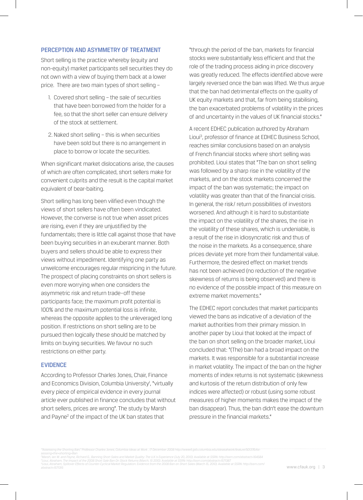#### PERCEPTION AND ASYMMETRY OF TREATMENT

Short selling is the practice whereby (equity and non-equity) market participants sell securities they do not own with a view of buying them back at a lower price. There are two main types of short selling –

- 1. Covered short selling the sale of securities that have been borrowed from the holder for a fee, so that the short seller can ensure delivery of the stock at settlement.
- 2. Naked short selling this is when securities have been sold but there is no arrangement in place to borrow or locate the securities.

When significant market dislocations arise, the causes of which are often complicated, short sellers make for convenient culprits and the result is the capital market equivalent of bear-baiting.

Short selling has long been vilified even though the views of short sellers have often been vindicated. However, the converse is not true when asset prices are rising, even if they are unjustified by the fundamentals; there is little call against those that have been buying securities in an exuberant manner. Both buyers and sellers should be able to express their views without impediment. Identifying one party as unwelcome encourages regular mispricing in the future. The prospect of placing constraints on short sellers is even more worrying when one considers the asymmetric risk and return trade–off these participants face; the maximum profit potential is 100% and the maximum potential loss is infinite, whereas the opposite applies to the unleveraged long position. If restrictions on short selling are to be pursued then logically these should be matched by limits on buying securities. We favour no such restrictions on either party.

#### EVIDENCE

According to Professor Charles Jones, Chair, Finance and Economics Division, Columbia University<sup>1</sup>, "virtually every piece of empirical evidence in every journal article ever published in finance concludes that without short sellers, prices are wrong". The study by Marsh and Payne<sup>2</sup> of the impact of the UK ban states that

"through the period of the ban, markets for financial stocks were substantially less efficient and that the role of the trading process aiding in price discovery was greatly reduced. The effects identified above were largely reversed once the ban was lifted. We thus argue that the ban had detrimental effects on the quality of UK equity markets and that, far from being stabilising. the ban exacerbated problems of volatility in the prices of and uncertainty in the values of UK financial stocks."

A recent EDHEC publication authored by Abraham Lioui<sup>3</sup>, professor of finance at EDHEC Business School, reaches similar conclusions based on an analysis of French financial stocks where short selling was prohibited. Lioui states that "The ban on short selling was followed by a sharp rise in the volatility of the markets, and on the stock markets concerned the impact of the ban was systematic; the impact on volatility was greater than that of the financial crisis. In general, the risk/ return possibilities of investors worsened. And although it is hard to substantiate the impact on the volatility of the shares, the rise in the volatility of these shares, which is undeniable, is a result of the rise in idiosyncratic risk and thus of the noise in the markets. As a consequence, share prices deviate yet more from their fundamental value. Furthermore, the desired effect on market trends has not been achieved (no reduction of the negative skewness of returns is being observed) and there is no evidence of the possible impact of this measure on extreme market movements."

The EDHEC report concludes that market participants viewed the bans as indicative of a deviation of the market authorities from their primary mission. In another paper by Lioui that looked at the impact of the ban on short selling on the broader market, Lioui concluded that: "(The) ban had a broad impact on the markets. It was responsible for a substantial increase in market volatility. The impact of the ban on the higher moments of index returns is not systematic (skewness and kurtosis of the return distribution of only few indices were affected) or robust (using some robust measures of higher moments makes the impact of the ban disappear). Thus, the ban didn't ease the downturn pressure in the financial markets."

*"Assessing the Shorting Ban," Professor Charles Jones, Columbia Ideas at Work , 17 December 2008 http://www4.gsb.columbia.edu/ideasatwork/feature/501376/As-*

*sessing+the+shorting+Ban Marsh, Ian W. and Payne, Richard G., Banning Short Sales and Market Quality: The U.K.'s Experience (July 20, 2010). Available at SSRN: http://ssrn.com/abstract=164584*

ªLioui, Abraham, The Impact of the 2008 Short Sale Ban On Stock Returns (March, 15 2010). Available at SSRN: http://ssrn.com/abstract=1571387<br>"Lioui, Abraham, Spillover Effects of Counter-Cyclical Market Regulation: Eviden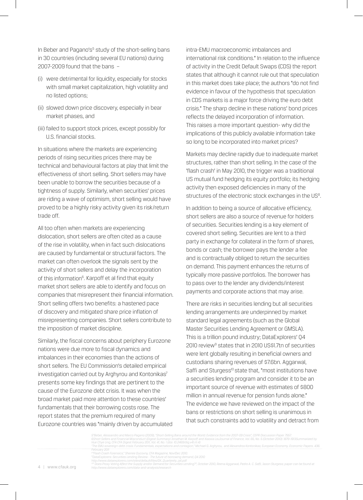In Beber and Pagano's<sup>5</sup> study of the short-selling bans in 30 countries (including several EU nations) during 2007-2009 found that the bans –

- (i) were detrimental for liquidity, especially for stocks with small market capitalization, high volatility and no listed options;
- (ii) slowed down price discovery, especially in bear market phases, and
- (iii) failed to support stock prices, except possibly for U.S. financial stocks.

In situations where the markets are experiencing periods of rising securities prices there may be technical and behavioural factors at play that limit the effectiveness of short selling. Short sellers may have been unable to borrow the securities because of a tightness of supply. Similarly, when securities' prices are riding a wave of optimism, short selling would have proved to be a highly risky activity given its risk/return trade off.

All too often when markets are experiencing dislocation, short sellers are often cited as a cause of the rise in volatility, when in fact such dislocations are caused by fundamental or structural factors. The market can often overlook the signals sent by the activity of short sellers and delay the incorporation of this information<sup>6</sup>. Karpoff et al find that equity market short sellers are able to identify and focus on companies that misrepresent their financial information. Short selling offers two benefits: a hastened pace of discovery and mitigated share price inflation of misrepresenting companies. Short sellers contribute to the imposition of market discipline.

Similarly, the fiscal concerns about periphery Eurozone nations were due more to fiscal dynamics and imbalances in their economies than the actions of short sellers. The EU Commission's detailed empirical investigation carried out by Arghyrou and Kontonikas<sup>7</sup> presents some key findings that are pertinent to the cause of the Eurozone debt crisis. It was when the broad market paid more attention to these countries' fundamentals that their borrowing costs rose. The report states that the premium required of many Eurozone countries was "mainly driven by accumulated intra-EMU macroeconomic imbalances and international risk conditions." In relation to the influence of activity in the Credit Default Swaps (CDS) the report states that although it cannot rule out that speculation in this market does take place; the authors "do not find evidence in favour of the hypothesis that speculation in CDS markets is a major force driving the euro debt crisis." The sharp decline in these nations' bond prices reflects the delayed incorporation of information. This raises a more important question- why did the implications of this publicly available information take so long to be incorporated into market prices?

Markets may decline rapidly due to inadequate market structures, rather than short selling. In the case of the 'flash crash' in May 2010, the trigger was a traditional US mutual fund hedging its equity portfolio; its hedging activity then exposed deficiencies in many of the structures of the electronic stock exchanges in the US<sup>8</sup>.

In addition to being a source of allocative efficiency, short sellers are also a source of revenue for holders of securities. Securities lending is a key element of covered short selling. Securities are lent to a third party in exchange for collateral in the form of shares, bonds or cash; the borrower pays the lender a fee and is contractually obliged to return the securities on demand. This payment enhances the returns of typically more passive portfolios. The borrower has to pass over to the lender any dividends/interest payments and corporate actions that may arise.

There are risks in securities lending but all securities lending arrangements are underpinned by market standard legal agreements (such as the Global Master Securities Lending Agreement or GMSLA). This is a trillion pound industry; DataExplorers' Q4 2010 review<sup>9</sup> states that in 2010 US\$1.7tn of securities were lent globally resulting in beneficial owners and custodians sharing revenues of \$7.6bn. Aggarwal, Saffi and Sturgess<sup>10</sup> state that, "most institutions have a securities lending program and consider it to be an important source of revenue with estimates of \$800 million in annual revenue for pension funds alone." The evidence we have reviewed on the impact of the bans or restrictions on short selling is unanimous in that such constraints add to volatility and detract from

5"Beber, Alessandro and Marco Pagano (2009), "Short-Selling Bans around the World: Evidence from the 2007-09 Crisis", CEPR Discussion Paper 7557.<br>6Short Sellers and Financial Misconduct (Digest Summary) Jonathan M. Karpoff

*http://www.dataexplorers.com/data-and-analysis/research*

*February 2011 8 "Flash Crash Forensics," Sherree Ducovny, CFA Magazine, Nov/Dec 2010. 9 DataExplorers: Securities Lending Review - The future of borrowing demand, Q4 2010 http://www.dataexplorers.com/sites/default/files/DX\_Quarterely\_q4.pdf*

*<sup>10&</sup>quot; Does Proxy Voting Affect the Supply and/or Demand for Securities Lending?", October 2010, Reena Aggarwal, Pedro A. C. Saffi, Jason Sturgess; paper can be found at*